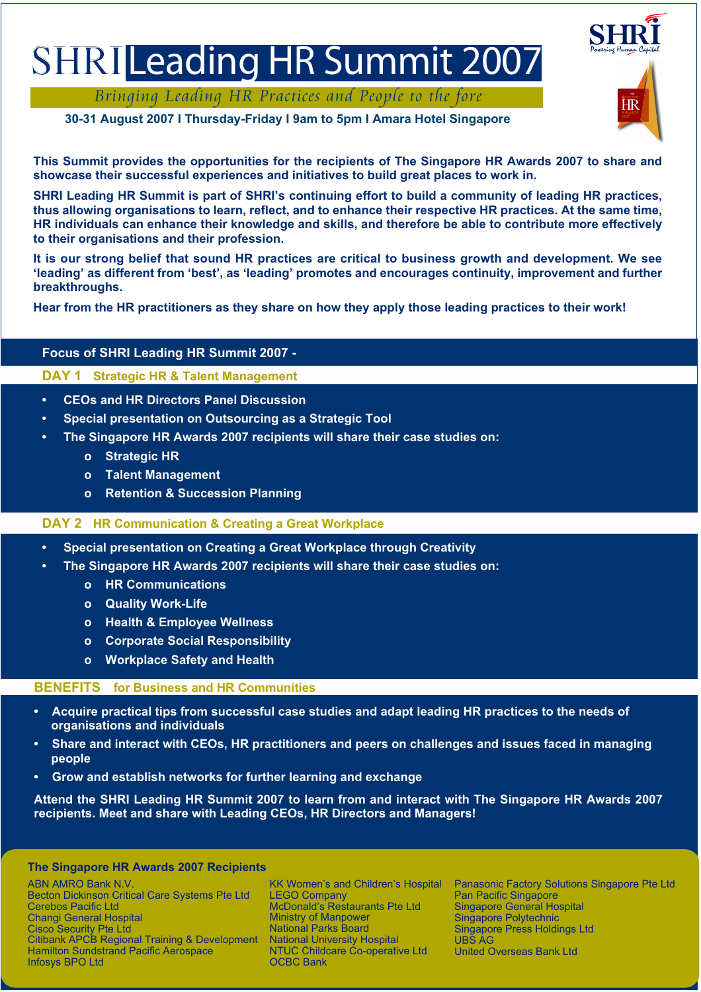# SHRI Leading HR Summit 2007

Bringing Leading HR Practices and People to the fore

**30-31 August 2007 I Thursday-Friday I 9am to 5pm I Amara Hotel Singapore**

Powering Human Capital ĦR

**This Summit provides the opportunities for the recipients of The Singapore HR Awards 2007 to share and showcase their successful experiences and initiatives to build great places to work in.** 

**SHRI Leading HR Summit is part of SHRI's continuing effort to build a community of leading HR practices, thus allowing organisations to learn, reflect, and to enhance their respective HR practices. At the same time, HR individuals can enhance their knowledge and skills, and therefore be able to contribute more effectively to their organisations and their profession.** 

**It is our strong belief that sound HR practices are critical to business growth and development. We see 'leading' as different from 'best', as 'leading' promotes and encourages continuity, improvement and further breakthroughs.** 

**Hear from the HR practitioners as they share on how they apply those leading practices to their work!**

# **Focus of SHRI Leading HR Summit 2007 -**

## **DAY 1 Strategic HR & Talent Management**

- **CEOs and HR Directors Panel Discussion**
- **Special presentation on Outsourcing as a Strategic Tool**
- **The Singapore HR Awards 2007 recipients will share their case studies on:**
	- **o Strategic HR**
	- **o Talent Management**
	- **o Retention & Succession Planning**

## **DAY 2 HR Communication & Creating a Great Workplace**

- **Special presentation on Creating a Great Workplace through Creativity**
- **The Singapore HR Awards 2007 recipients will share their case studies on:**
	- **o HR Communications**
	- **o Quality Work-Life**
	- **o Health & Employee Wellness**
	- **o Corporate Social Responsibility**
	- **o Workplace Safety and Health**

## **BENEFITS for Business and HR Communities**

- **Acquire practical tips from successful case studies and adapt leading HR practices to the needs of organisations and individuals**
- **Share and interact with CEOs, HR practitioners and peers on challenges and issues faced in managing people**
- **Grow and establish networks for further learning and exchange**

**Attend the SHRI Leading HR Summit 2007 to learn from and interact with The Singapore HR Awards 2007 recipients. Meet and share with Leading CEOs, HR Directors and Managers!** 

### **The Singapore HR Awards 2007 Recipients**

ABN AMRO Bank N.V. Becton Dickinson Critical Care Systems Pte Ltd Cerebos Pacific Ltd Changi General Hospital Cisco Security Pte Ltd Citibank APCB Regional Training & Development Hamilton Sundstrand Pacific Aerospace Infosys BPO Ltd

KK Women's and Children's Hospital LEGO Company McDonald's Restaurants Pte Ltd Ministry of Manpower National Parks Board National University Hospital NTUC Childcare Co-operative Ltd OCBC Bank

Panasonic Factory Solutions Singapore Pte Ltd Pan Pacific Singapore Singapore General Hospital **Singapore Polytechnic** Singapore Press Holdings Ltd UBS AG United Overseas Bank Ltd